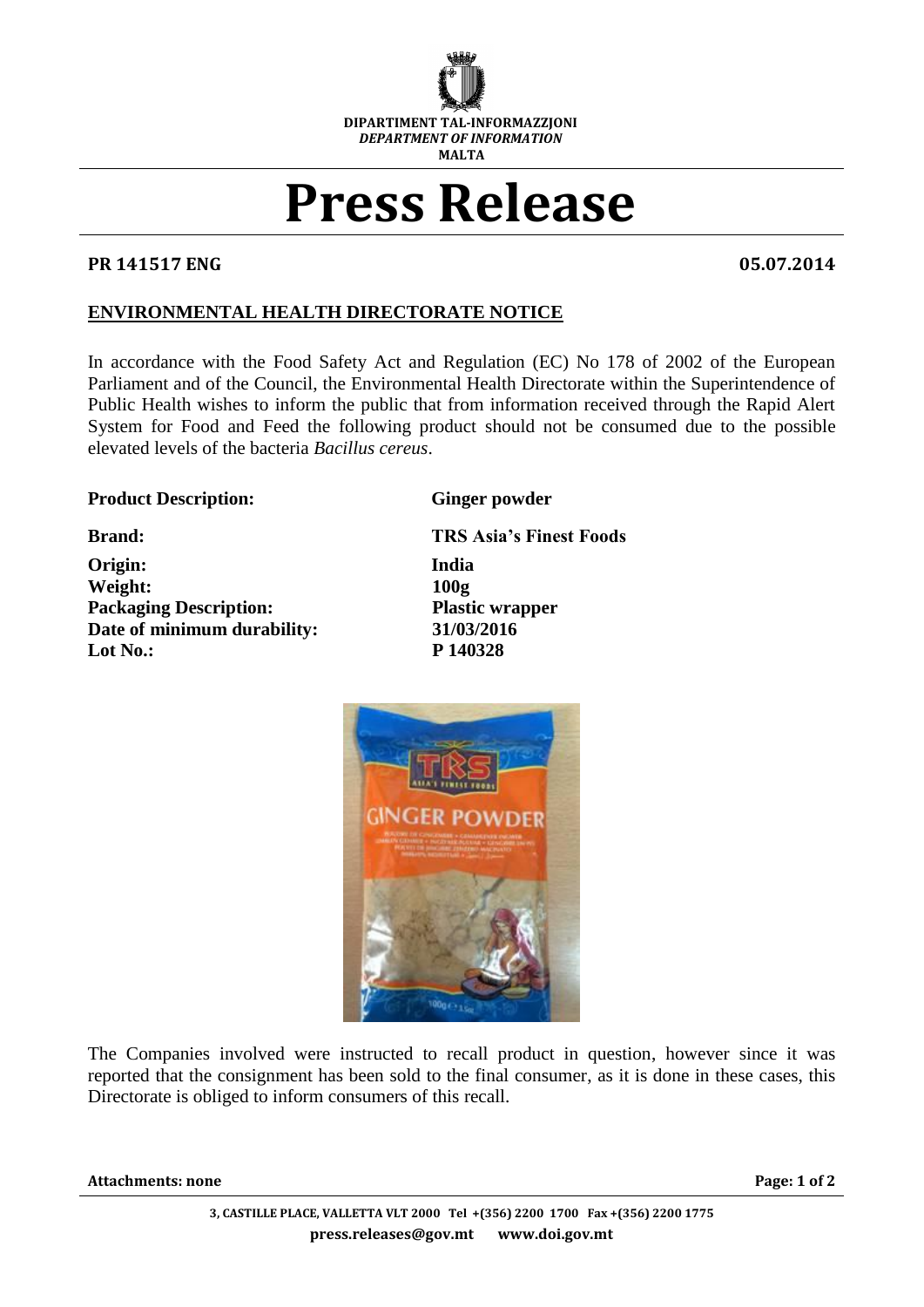

## **Press Release**

## **PR 141517 ENG 05.07.2014**

## **ENVIRONMENTAL HEALTH DIRECTORATE NOTICE**

In accordance with the Food Safety Act and Regulation (EC) No 178 of 2002 of the European Parliament and of the Council, the Environmental Health Directorate within the Superintendence of Public Health wishes to inform the public that from information received through the Rapid Alert System for Food and Feed the following product should not be consumed due to the possible elevated levels of the bacteria *Bacillus cereus*.

## **Product Description:** Ginger powder

**Origin: India Weight: 100g Packaging Description: Plastic wrapper Date of minimum durability: 31/03/2016 Lot No.: P 140328**

**Brand: TRS Asia's Finest Foods**



The Companies involved were instructed to recall product in question, however since it was reported that the consignment has been sold to the final consumer, as it is done in these cases, this Directorate is obliged to inform consumers of this recall.